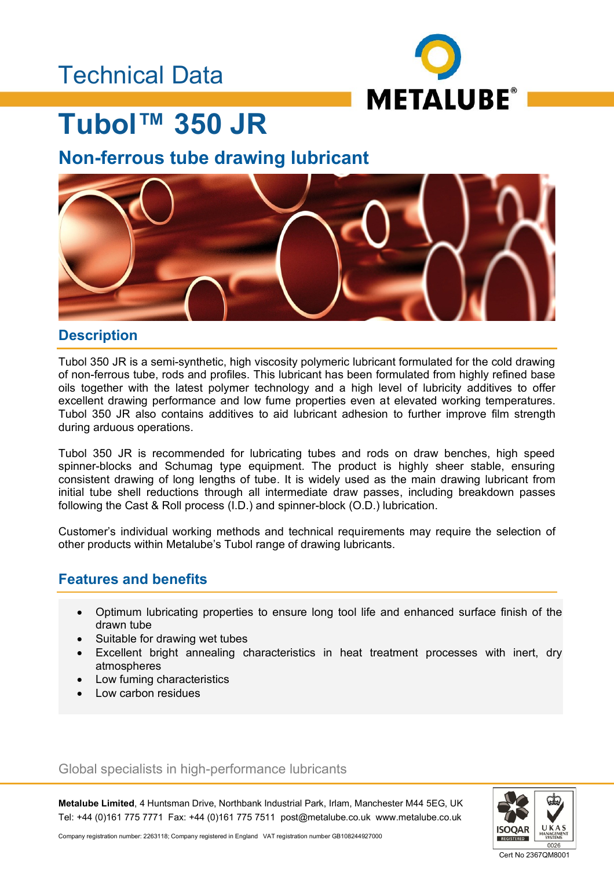### Technical Data



## **Tubol™ 350 JR**

### **Non-ferrous tube drawing lubricant**



#### **Description**

Tubol 350 JR is a semi-synthetic, high viscosity polymeric lubricant formulated for the cold drawing of non-ferrous tube, rods and profiles. This lubricant has been formulated from highly refined base oils together with the latest polymer technology and a high level of lubricity additives to offer excellent drawing performance and low fume properties even at elevated working temperatures. Tubol 350 JR also contains additives to aid lubricant adhesion to further improve film strength during arduous operations.

Tubol 350 JR is recommended for lubricating tubes and rods on draw benches, high speed spinner-blocks and Schumag type equipment. The product is highly sheer stable, ensuring consistent drawing of long lengths of tube. It is widely used as the main drawing lubricant from initial tube shell reductions through all intermediate draw passes, including breakdown passes following the Cast & Roll process (I.D.) and spinner-block (O.D.) lubrication.

Customer's individual working methods and technical requirements may require the selection of other products within Metalube's Tubol range of drawing lubricants.

### **Features and benefits**

- Optimum lubricating properties to ensure long tool life and enhanced surface finish of the drawn tube
- Suitable for drawing wet tubes
- Excellent bright annealing characteristics in heat treatment processes with inert, dry atmospheres
- Low fuming characteristics
- Low carbon residues

#### Global specialists in high-performance lubricants

**Metalube Limited**, 4 Huntsman Drive, Northbank Industrial Park, Irlam, Manchester M44 5EG, UK Tel: +44 (0)161 775 7771 Fax: +44 (0)161 775 7511 post@metalube.co.uk www.metalube.co.uk